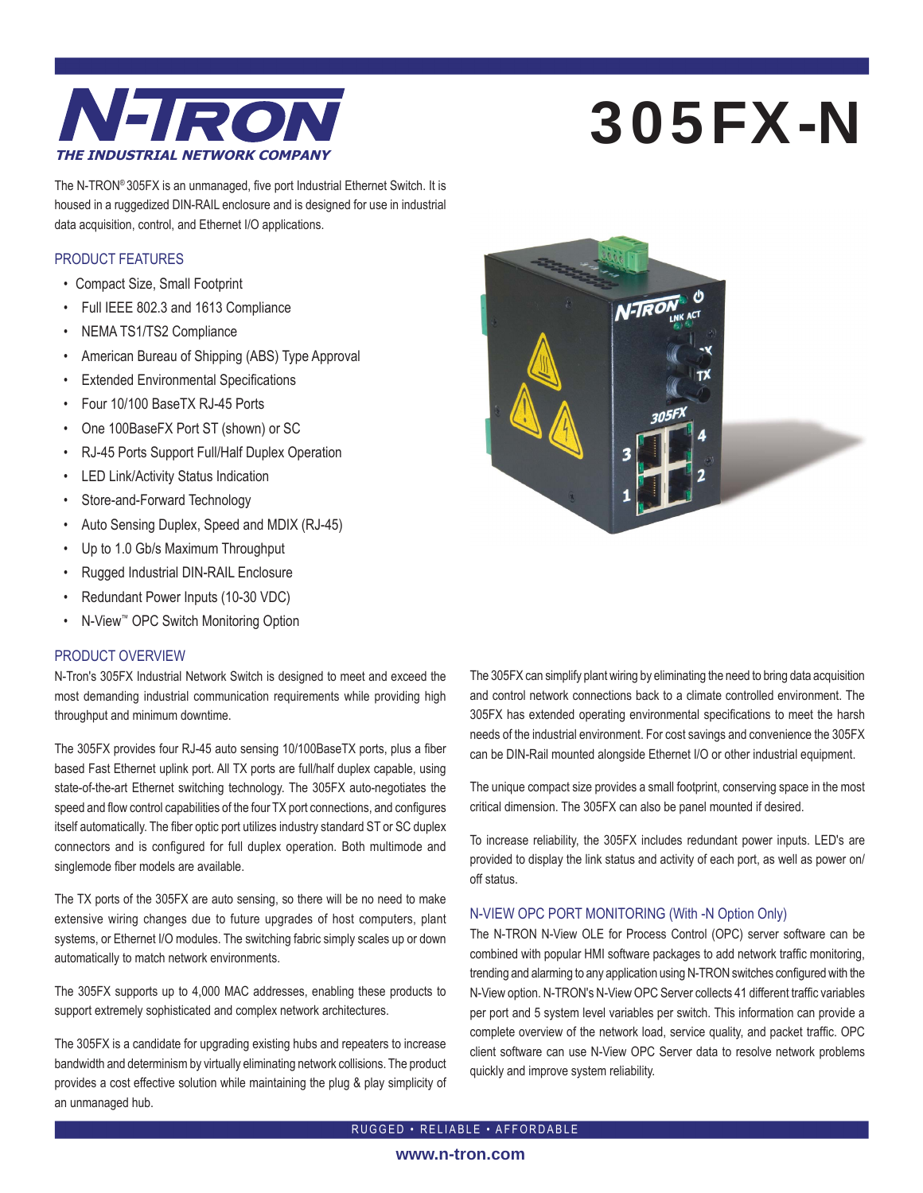

# 305FX-N

The N-TRON® 305FX is an unmanaged, five port Industrial Ethernet Switch. It is housed in a ruggedized DIN-RAIL enclosure and is designed for use in industrial data acquisition, control, and Ethernet I/O applications.

#### PRODUCT FEATURES

- Compact Size, Small Footprint
- Full IEEE 802.3 and 1613 Compliance
- NEMA TS1/TS2 Compliance
- American Bureau of Shipping (ABS) Type Approval
- **Extended Environmental Specifications**
- Four 10/100 BaseTX RJ-45 Ports
- One 100BaseFX Port ST (shown) or SC
- RJ-45 Ports Support Full/Half Duplex Operation
- LED Link/Activity Status Indication
- Store-and-Forward Technology
- Auto Sensing Duplex, Speed and MDIX (RJ-45)
- Up to 1.0 Gb/s Maximum Throughput
- Rugged Industrial DIN-RAIL Enclosure
- Redundant Power Inputs (10-30 VDC)
- N-View™ OPC Switch Monitoring Option

#### PRODUCT OVERVIEW

N-Tron's 305FX Industrial Network Switch is designed to meet and exceed the most demanding industrial communication requirements while providing high throughput and minimum downtime.

The 305FX provides four RJ-45 auto sensing 10/100BaseTX ports, plus a fiber based Fast Ethernet uplink port. All TX ports are full/half duplex capable, using state-of-the-art Ethernet switching technology. The 305FX auto-negotiates the speed and flow control capabilities of the four TX port connections, and configures itself automatically. The fiber optic port utilizes industry standard ST or SC duplex connectors and is configured for full duplex operation. Both multimode and singlemode fiber models are available.

The TX ports of the 305FX are auto sensing, so there will be no need to make extensive wiring changes due to future upgrades of host computers, plant systems, or Ethernet I/O modules. The switching fabric simply scales up or down automatically to match network environments.

The 305FX supports up to 4,000 MAC addresses, enabling these products to support extremely sophisticated and complex network architectures.

The 305FX is a candidate for upgrading existing hubs and repeaters to increase bandwidth and determinism by virtually eliminating network collisions. The product provides a cost effective solution while maintaining the plug & play simplicity of an unmanaged hub.



The 305FX can simplify plant wiring by eliminating the need to bring data acquisition and control network connections back to a climate controlled environment. The 305FX has extended operating environmental specifications to meet the harsh needs of the industrial environment. For cost savings and convenience the 305FX can be DIN-Rail mounted alongside Ethernet I/O or other industrial equipment.

The unique compact size provides a small footprint, conserving space in the most critical dimension. The 305FX can also be panel mounted if desired.

To increase reliability, the 305FX includes redundant power inputs. LED's are provided to display the link status and activity of each port, as well as power on/ off status.

#### N-VIEW OPC PORT MONITORING (With -N Option Only)

The N-TRON N-View OLE for Process Control (OPC) server software can be combined with popular HMI software packages to add network traffic monitoring, trending and alarming to any application using N-TRON switches configured with the N-View option. N-TRON's N-View OPC Server collects 41 different traffic variables per port and 5 system level variables per switch. This information can provide a complete overview of the network load, service quality, and packet traffic. OPC client software can use N-View OPC Server data to resolve network problems quickly and improve system reliability.

RUGGED • RELIABLE • AFFORDABLE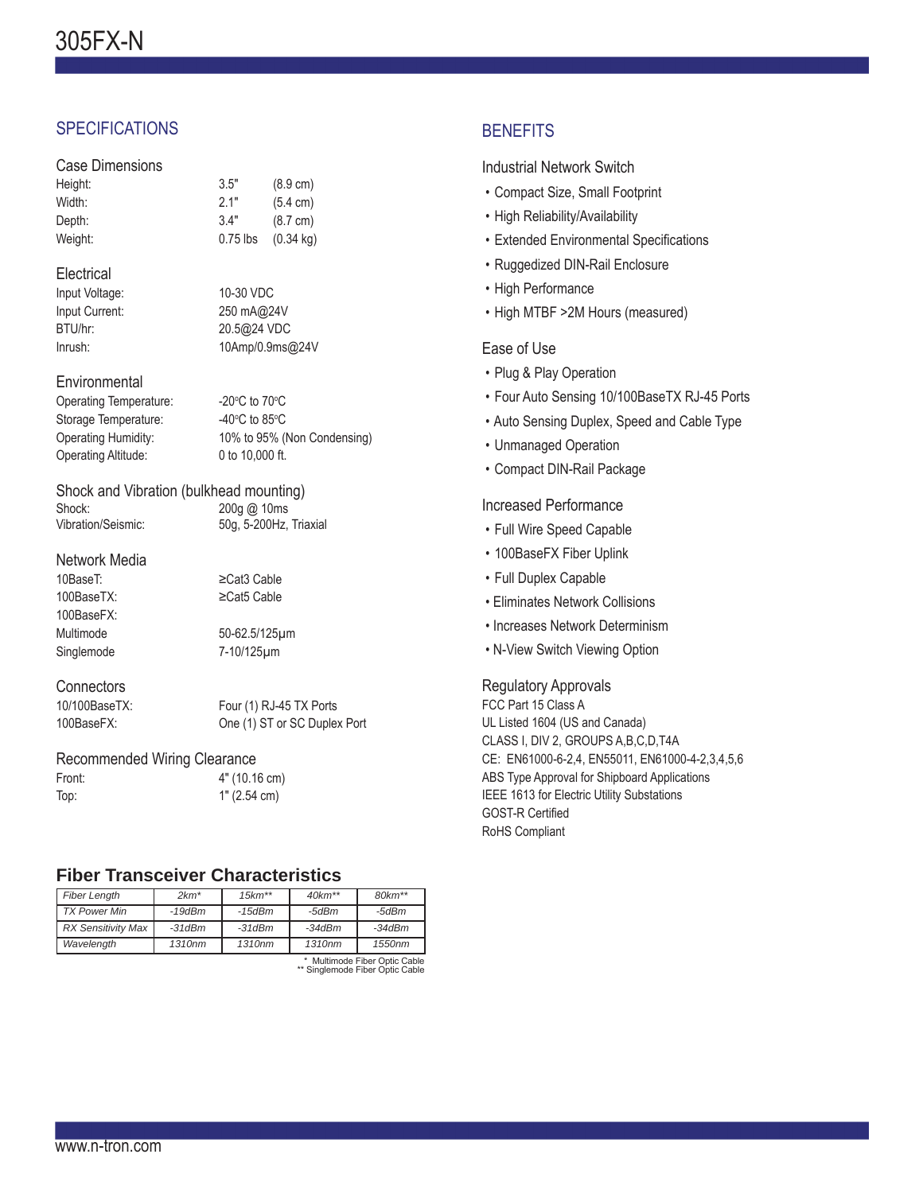# **SPECIFICATIONS**

# Case Dimensions

| 3.5"       | $(8.9 \text{ cm})$  |
|------------|---------------------|
| 2.1"       | $(5.4 \text{ cm})$  |
| 3.4"       | $(8.7 \text{ cm})$  |
| $0.75$ lbs | $(0.34 \text{ kg})$ |
|            |                     |

#### **Electrical**

| Input Voltage: |  |
|----------------|--|
| Input Current: |  |
| BTU/hr:        |  |
| Inrush:        |  |

10-30 VDC 250 mA@24V BTU/hr: 20.5@24 VDC 10Amp/0.9ms@24V

#### **Environmental**

| Operating Temperature: | -20 $\rm{^{\circ}C}$ to 70 $\rm{^{\circ}C}$ |
|------------------------|---------------------------------------------|
| Storage Temperature:   | -40 $\degree$ C to 85 $\degree$ C           |
| Operating Humidity:    | 10% to 95% (Non Condensing)                 |
| Operating Altitude:    | 0 to 10,000 ft.                             |
|                        |                                             |

#### Shock and Vibration (bulkhead mounting) Shock: 200g @ 10ms Vibration/Seismic: 50g, 5-200Hz, Triaxial

#### Network Media

| 10BaseT:   |
|------------|
| 100BaseTX: |
| 100BaseFX: |
| Multimode  |
|            |

50-62.5/125μm Singlemode 7-10/125μm

≥Cat3 Cable ≥Cat5 Cable

#### **Connectors**

10/100BaseTX: Four (1) RJ-45 TX Ports 100BaseFX: One (1) ST or SC Duplex Port

## Recommended Wiring Clearance

| Front: | 4" (10.16 cm) |
|--------|---------------|
| Top:   | 1" (2.54 cm)  |

# **Fiber Transceiver Characteristics**

| <b>Fiber Length</b> | $2km*$       | $15km**$           | $40km**$ | $80km**$                      |
|---------------------|--------------|--------------------|----------|-------------------------------|
| TX Power Min        | $-19$ d $Bm$ | -15dBm             | -5dBm    | -5dBm                         |
| RX Sensitivity Max  | $-31dBm$     | $-31dBm$           | $-34dBm$ | $-34dBm$                      |
| Wavelength          | 1310nm       | 1310 <sub>nm</sub> | 1310nm   | 1550nm                        |
|                     |              |                    |          | * Multimode Eiber Optic Cable |

\* Multimode Fiber Optic Cable \*\* Singlemode Fiber Optic Cable

# **BENEFITS**

#### Industrial Network Switch

- Compact Size, Small Footprint
- High Reliability/Availability
- Extended Environmental Specifications
- Ruggedized DIN-Rail Enclosure
- High Performance
- High MTBF >2M Hours (measured)

### Ease of Use

- Plug & Play Operation
- Four Auto Sensing 10/100BaseTX RJ-45 Ports
- Auto Sensing Duplex, Speed and Cable Type
- Unmanaged Operation
- Compact DIN-Rail Package

## Increased Performance

- Full Wire Speed Capable
- 100BaseFX Fiber Uplink
- Full Duplex Capable
- Eliminates Network Collisions
- Increases Network Determinism
- N-View Switch Viewing Option

#### Regulatory Approvals

FCC Part 15 Class A UL Listed 1604 (US and Canada) CLASS I, DIV 2, GROUPS A,B,C,D,T4A CE: EN61000-6-2,4, EN55011, EN61000-4-2,3,4,5,6 ABS Type Approval for Shipboard Applications IEEE 1613 for Electric Utility Substations **GOST-R Certified** RoHS Compliant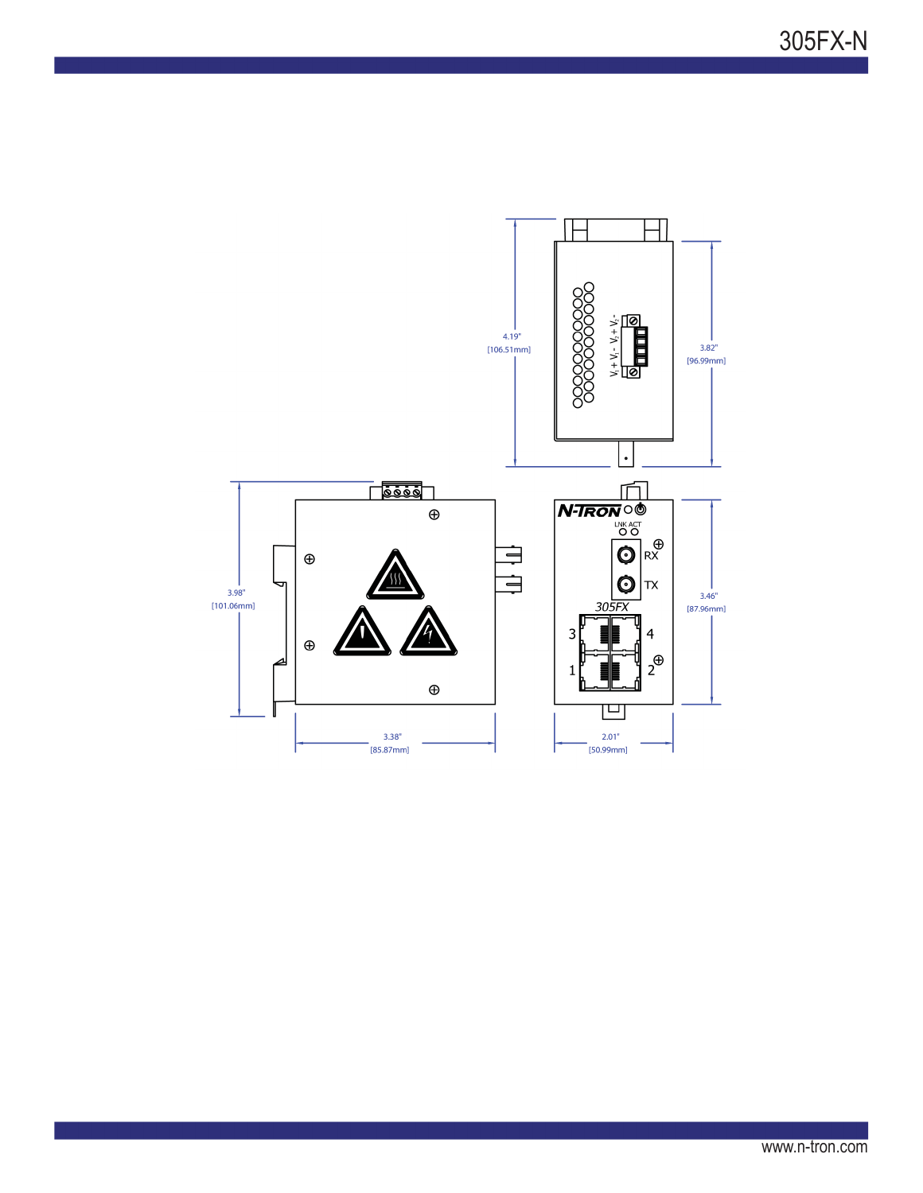